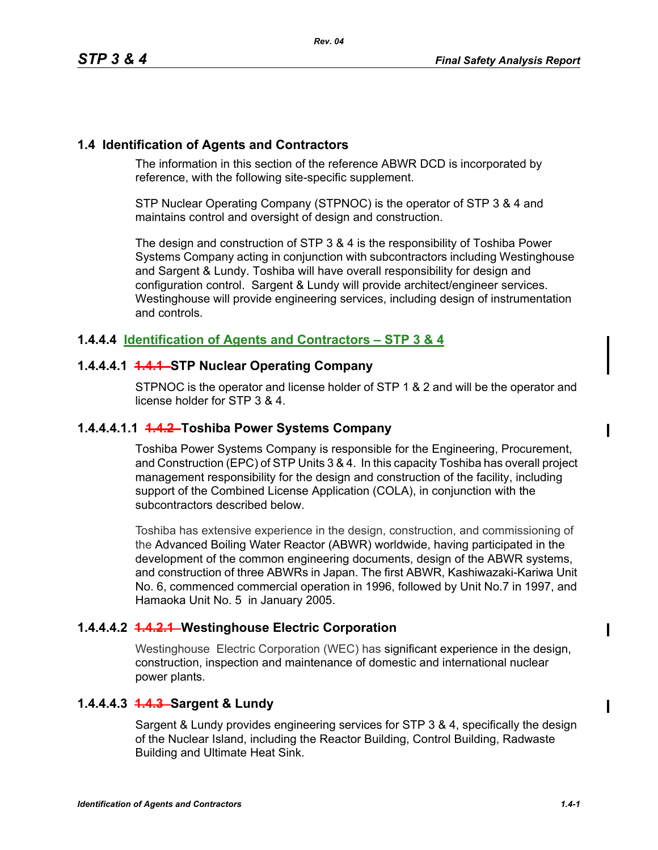#### **1.4 Identification of Agents and Contractors**

The information in this section of the reference ABWR DCD is incorporated by reference, with the following site-specific supplement.

STP Nuclear Operating Company (STPNOC) is the operator of STP 3 & 4 and maintains control and oversight of design and construction.

The design and construction of STP 3 & 4 is the responsibility of Toshiba Power Systems Company acting in conjunction with subcontractors including Westinghouse and Sargent & Lundy. Toshiba will have overall responsibility for design and configuration control. Sargent & Lundy will provide architect/engineer services. Westinghouse will provide engineering services, including design of instrumentation and controls.

### **1.4.4.4 Identification of Agents and Contractors – STP 3 & 4**

### **1.4.4.4.1 1.4.1 STP Nuclear Operating Company**

STPNOC is the operator and license holder of STP 1 & 2 and will be the operator and license holder for STP 3 & 4.

#### **1.4.4.4.1.1 1.4.2 Toshiba Power Systems Company**

Toshiba Power Systems Company is responsible for the Engineering, Procurement, and Construction (EPC) of STP Units 3 & 4. In this capacity Toshiba has overall project management responsibility for the design and construction of the facility, including support of the Combined License Application (COLA), in conjunction with the subcontractors described below.

Toshiba has extensive experience in the design, construction, and commissioning of the Advanced Boiling Water Reactor (ABWR) worldwide, having participated in the development of the common engineering documents, design of the ABWR systems, and construction of three ABWRs in Japan. The first ABWR, Kashiwazaki-Kariwa Unit No. 6, commenced commercial operation in 1996, followed by Unit No.7 in 1997, and Hamaoka Unit No. 5 in January 2005.

# **1.4.4.4.2 1.4.2.1 Westinghouse Electric Corporation**

Westinghouse Electric Corporation (WEC) has significant experience in the design, construction, inspection and maintenance of domestic and international nuclear power plants.

# **1.4.4.4.3 1.4.3 Sargent & Lundy**

Sargent & Lundy provides engineering services for STP 3 & 4, specifically the design of the Nuclear Island, including the Reactor Building, Control Building, Radwaste Building and Ultimate Heat Sink.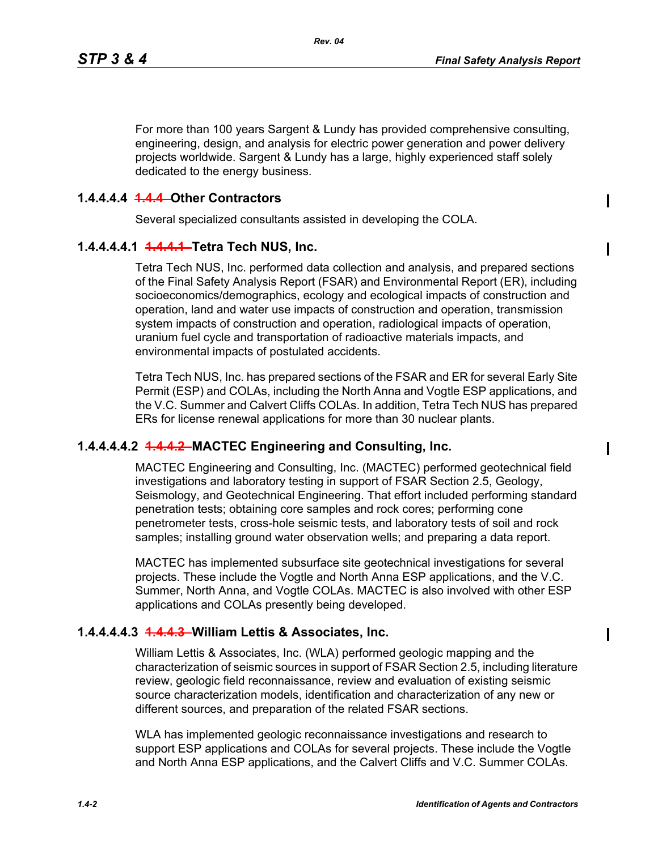$\mathbf I$ 

For more than 100 years Sargent & Lundy has provided comprehensive consulting, engineering, design, and analysis for electric power generation and power delivery projects worldwide. Sargent & Lundy has a large, highly experienced staff solely dedicated to the energy business.

# **1.4.4.4.4 1.4.4 Other Contractors**

Several specialized consultants assisted in developing the COLA.

### **1.4.4.4.4.1 1.4.4.1 Tetra Tech NUS, Inc.**

Tetra Tech NUS, Inc. performed data collection and analysis, and prepared sections of the Final Safety Analysis Report (FSAR) and Environmental Report (ER), including socioeconomics/demographics, ecology and ecological impacts of construction and operation, land and water use impacts of construction and operation, transmission system impacts of construction and operation, radiological impacts of operation, uranium fuel cycle and transportation of radioactive materials impacts, and environmental impacts of postulated accidents.

Tetra Tech NUS, Inc. has prepared sections of the FSAR and ER for several Early Site Permit (ESP) and COLAs, including the North Anna and Vogtle ESP applications, and the V.C. Summer and Calvert Cliffs COLAs. In addition, Tetra Tech NUS has prepared ERs for license renewal applications for more than 30 nuclear plants.

# **1.4.4.4.4.2 1.4.4.2 MACTEC Engineering and Consulting, Inc.**

MACTEC Engineering and Consulting, Inc. (MACTEC) performed geotechnical field investigations and laboratory testing in support of FSAR Section 2.5, Geology, Seismology, and Geotechnical Engineering. That effort included performing standard penetration tests; obtaining core samples and rock cores; performing cone penetrometer tests, cross-hole seismic tests, and laboratory tests of soil and rock samples; installing ground water observation wells; and preparing a data report.

MACTEC has implemented subsurface site geotechnical investigations for several projects. These include the Vogtle and North Anna ESP applications, and the V.C. Summer, North Anna, and Vogtle COLAs. MACTEC is also involved with other ESP applications and COLAs presently being developed.

# **1.4.4.4.4.3 1.4.4.3 William Lettis & Associates, Inc.**

William Lettis & Associates, Inc. (WLA) performed geologic mapping and the characterization of seismic sources in support of FSAR Section 2.5, including literature review, geologic field reconnaissance, review and evaluation of existing seismic source characterization models, identification and characterization of any new or different sources, and preparation of the related FSAR sections.

WLA has implemented geologic reconnaissance investigations and research to support ESP applications and COLAs for several projects. These include the Vogtle and North Anna ESP applications, and the Calvert Cliffs and V.C. Summer COLAs.